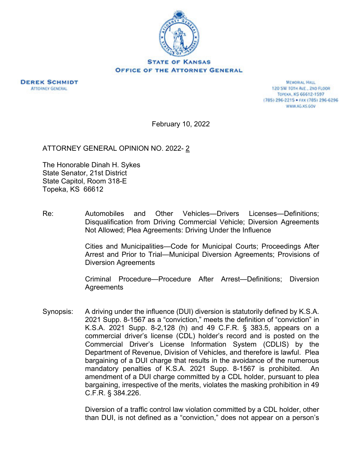

**DEREK SCHMIDT ATTORNEY GENERAL** 

MEMORIAL HALL 120 SW 101H AVE., 2ND FLOOR ТОРСКА, KS 66612-1597 (785) 296-2215 · FAX (785) 296-6296 WWW.AG.XS.GOV

February 10, 2022

ATTORNEY GENERAL OPINION NO. 2022- 2

The Honorable Dinah H. Sykes State Senator, 21st District State Capitol, Room 318-E Topeka, KS 66612

Re: Automobiles and Other Vehicles—Drivers Licenses—Definitions; Disqualification from Driving Commercial Vehicle; Diversion Agreements Not Allowed; Plea Agreements: Driving Under the Influence

> Cities and Municipalities—Code for Municipal Courts; Proceedings After Arrest and Prior to Trial—Municipal Diversion Agreements; Provisions of Diversion Agreements

> Criminal Procedure—Procedure After Arrest—Definitions; Diversion **Agreements**

Synopsis: A driving under the influence (DUI) diversion is statutorily defined by K.S.A. 2021 Supp. 8-1567 as a "conviction," meets the definition of "conviction" in K.S.A. 2021 Supp. 8-2,128 (h) and 49 C.F.R. § 383.5, appears on a commercial driver's license (CDL) holder's record and is posted on the Commercial Driver's License Information System (CDLIS) by the Department of Revenue, Division of Vehicles, and therefore is lawful. Plea bargaining of a DUI charge that results in the avoidance of the numerous mandatory penalties of K.S.A. 2021 Supp. 8-1567 is prohibited. An amendment of a DUI charge committed by a CDL holder, pursuant to plea bargaining, irrespective of the merits, violates the masking prohibition in 49 C.F.R. § 384.226.

> Diversion of a traffic control law violation committed by a CDL holder, other than DUI, is not defined as a "conviction," does not appear on a person's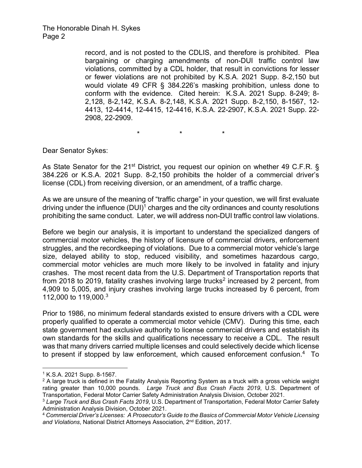record, and is not posted to the CDLIS, and therefore is prohibited. Plea bargaining or charging amendments of non-DUI traffic control law violations, committed by a CDL holder, that result in convictions for lesser or fewer violations are not prohibited by K.S.A. 2021 Supp. 8-2,150 but would violate 49 CFR § 384.226's masking prohibition, unless done to conform with the evidence. Cited herein: K.S.A. 2021 Supp. 8-249; 8- 2,128, 8-2,142, K.S.A. 8-2,148, K.S.A. 2021 Supp. 8-2,150, 8-1567, 12- 4413, 12-4414, 12-4415, 12-4416, K.S.A. 22-2907, K.S.A. 2021 Supp. 22- 2908, 22-2909.

\* \* \*

Dear Senator Sykes:

As State Senator for the 21<sup>st</sup> District, you request our opinion on whether 49 C.F.R. § 384.226 or K.S.A. 2021 Supp. 8-2,150 prohibits the holder of a commercial driver's license (CDL) from receiving diversion, or an amendment, of a traffic charge.

As we are unsure of the meaning of "traffic charge" in your question, we will first evaluate driving under the influence  $(DUI)^1$  charges and the city ordinances and county resolutions prohibiting the same conduct. Later, we will address non-DUI traffic control law violations.

Before we begin our analysis, it is important to understand the specialized dangers of commercial motor vehicles, the history of licensure of commercial drivers, enforcement struggles, and the recordkeeping of violations. Due to a commercial motor vehicle's large size, delayed ability to stop, reduced visibility, and sometimes hazardous cargo, commercial motor vehicles are much more likely to be involved in fatality and injury crashes. The most recent data from the U.S. Department of Transportation reports that from 2018 to 2019, fatality crashes involving large trucks<sup>2</sup> increased by 2 percent, from 4,909 to 5,005, and injury crashes involving large trucks increased by 6 percent, from 112,000 to 119,000.3

Prior to 1986, no minimum federal standards existed to ensure drivers with a CDL were properly qualified to operate a commercial motor vehicle (CMV). During this time, each state government had exclusive authority to license commercial drivers and establish its own standards for the skills and qualifications necessary to receive a CDL. The result was that many drivers carried multiple licenses and could selectively decide which license to present if stopped by law enforcement, which caused enforcement confusion.<sup>4</sup> To

<sup>1</sup> K.S.A. 2021 Supp. 8-1567.

 $2$  A large truck is defined in the Fatality Analysis Reporting System as a truck with a gross vehicle weight rating greater than 10,000 pounds. *Large Truck and Bus Crash Facts 2019*, U.S. Department of Transportation, Federal Motor Carrier Safety Administration Analysis Division, October 2021.

<sup>3</sup> *Large Truck and Bus Crash Facts 2019*, U.S. Department of Transportation, Federal Motor Carrier Safety Administration Analysis Division, October 2021.

<sup>4</sup> *Commercial Driver's Licenses: A Prosecutor's Guide to the Basics of Commercial Motor Vehicle Licensing and Violations*, National District Attorneys Association, 2nd Edition, 2017.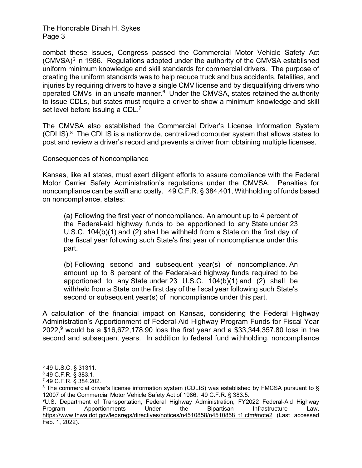combat these issues, Congress passed the Commercial Motor Vehicle Safety Act (CMVSA)5 in 1986. Regulations adopted under the authority of the CMVSA established uniform minimum knowledge and skill standards for commercial drivers. The purpose of creating the uniform standards was to help reduce truck and bus accidents, fatalities, and injuries by requiring drivers to have a single CMV license and by disqualifying drivers who operated CMVs in an unsafe manner.<sup>6</sup> Under the CMVSA, states retained the authority to issue CDLs, but states must require a driver to show a minimum knowledge and skill set level before issuing a CDL.<sup>7</sup>

The CMVSA also established the Commercial Driver's License Information System  $(CDLIS).<sup>8</sup>$  The CDLIS is a nationwide, centralized computer system that allows states to post and review a driver's record and prevents a driver from obtaining multiple licenses.

#### Consequences of Noncompliance

Kansas, like all states, must exert diligent efforts to assure compliance with the Federal Motor Carrier Safety Administration's regulations under the CMVSA. Penalties for noncompliance can be swift and costly. 49 C.F.R. § 384.401, Withholding of funds based on noncompliance, states:

(a) Following the first year of noncompliance. An amount up to 4 percent of the Federal-aid highway funds to be apportioned to any State under 23 U.S.C. 104(b)(1) and (2) shall be withheld from a State on the first day of the fiscal year following such State's first year of noncompliance under this part.

(b) Following second and subsequent year(s) of noncompliance. An amount up to 8 percent of the Federal-aid highway funds required to be apportioned to any State under 23 U.S.C. 104(b)(1) and (2) shall be withheld from a State on the first day of the fiscal year following such State's second or subsequent year(s) of noncompliance under this part.

A calculation of the financial impact on Kansas, considering the Federal Highway Administration's Apportionment of Federal-Aid Highway Program Funds for Fiscal Year 2022,<sup>9</sup> would be a \$16,672,178.90 loss the first year and a \$33,344,357.80 loss in the second and subsequent years. In addition to federal fund withholding, noncompliance

<sup>5 49</sup> U.S.C. § 31311.

<sup>6 49</sup> C.F.R. § 383.1.

<sup>7 49</sup> C.F.R. § 384.202.

<sup>&</sup>lt;sup>8</sup> The commercial driver's license information system (CDLIS) was established by FMCSA pursuant to § 12007 of the Commercial Motor Vehicle Safety Act of 1986. 49 C.F.R. § 383.5.

<sup>9</sup>U.S. Department of Transportation, Federal Highway Administration, FY2022 Federal-Aid Highway Program Apportionments Under the Bipartisan Infrastructure Law, https://www.fhwa.dot.gov/legsregs/directives/notices/n4510858/n4510858\_t1.cfm#note2 (Last accessed Feb. 1, 2022).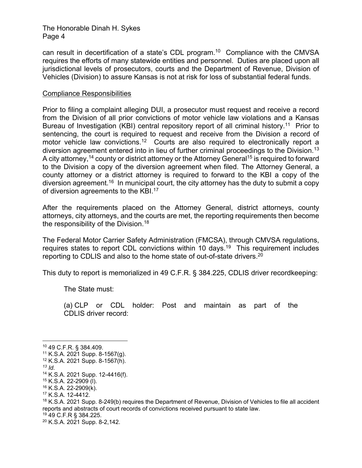can result in decertification of a state's CDL program.10 Compliance with the CMVSA requires the efforts of many statewide entities and personnel. Duties are placed upon all jurisdictional levels of prosecutors, courts and the Department of Revenue, Division of Vehicles (Division) to assure Kansas is not at risk for loss of substantial federal funds.

#### Compliance Responsibilities

Prior to filing a complaint alleging DUI, a prosecutor must request and receive a record from the Division of all prior convictions of motor vehicle law violations and a Kansas Bureau of Investigation (KBI) central repository report of all criminal history.<sup>11</sup> Prior to sentencing, the court is required to request and receive from the Division a record of motor vehicle law convictions.<sup>12</sup> Courts are also required to electronically report a diversion agreement entered into in lieu of further criminal proceedings to the Division.<sup>13</sup> A city attorney,<sup>14</sup> county or district attorney or the Attorney General<sup>15</sup> is required to forward to the Division a copy of the diversion agreement when filed. The Attorney General, a county attorney or a district attorney is required to forward to the KBI a copy of the diversion agreement.<sup>16</sup> In municipal court, the city attorney has the duty to submit a copy of diversion agreements to the KBI.<sup>17</sup>

After the requirements placed on the Attorney General, district attorneys, county attorneys, city attorneys, and the courts are met, the reporting requirements then become the responsibility of the Division.<sup>18</sup>

The Federal Motor Carrier Safety Administration (FMCSA), through CMVSA regulations, requires states to report CDL convictions within 10 days.<sup>19</sup> This requirement includes reporting to CDLIS and also to the home state of out-of-state drivers.20

This duty to report is memorialized in 49 C.F.R. § 384.225, CDLIS driver recordkeeping:

The State must:

(a) CLP or CDL holder: Post and maintain as part of the CDLIS driver record:

<sup>10 49</sup> C.F.R. § 384.409.

 $11$  K.S.A. 2021 Supp. 8-1567(g).

<sup>12</sup> K.S.A. 2021 Supp. 8-1567(h).

*<sup>13</sup> Id.* 

<sup>14</sup> K.S.A. 2021 Supp. 12-4416(f).

<sup>15</sup> K.S.A. 22-2909 (l).

<sup>16</sup> K.S.A. 22-2909(k).

 $17$  K.S.A. 12-4412.

<sup>&</sup>lt;sup>18</sup> K.S.A. 2021 Supp. 8-249(b) requires the Department of Revenue, Division of Vehicles to file all accident reports and abstracts of court records of convictions received pursuant to state law.

<sup>19 49</sup> C.F.R § 384.225.

<sup>20</sup> K.S.A. 2021 Supp. 8-2,142.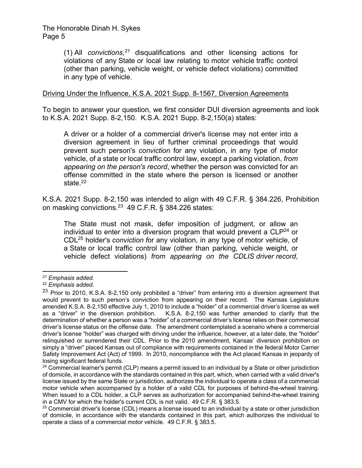(1) All *convictions,21* disqualifications and other licensing actions for violations of any State or local law relating to motor vehicle traffic control (other than parking, vehicle weight, or vehicle defect violations) committed in any type of vehicle.

### Driving Under the Influence, K.S.A. 2021 Supp. 8-1567, Diversion Agreements

To begin to answer your question, we first consider DUI diversion agreements and look to K.S.A. 2021 Supp. 8-2,150. K.S.A. 2021 Supp. 8-2,150(a) states:

A driver or a holder of a commercial driver's license may not enter into a diversion agreement in lieu of further criminal proceedings that would prevent such person's *conviction* for any violation, in any type of motor vehicle, of a state or local traffic control law, except a parking violation, *from appearing on the person's record*, whether the person was convicted for an offense committed in the state where the person is licensed or another state.<sup>22</sup>

K.S.A. 2021 Supp. 8-2,150 was intended to align with 49 C.F.R. § 384.226, Prohibition on masking convictions.23 49 C.F.R. § 384.226 states:

The State must not mask, defer imposition of judgment, or allow an individual to enter into a diversion program that would prevent a  $CLP<sup>24</sup>$  or CDL25 holder's *conviction f*or any violation, in any type of motor vehicle, of a State or local traffic control law (other than parking, vehicle weight, or vehicle defect violations) *from appearing on the CDLIS driver record*,

*<sup>21</sup> Emphasis added.* 

<sup>&</sup>lt;sup>23</sup> Prior to 2010, K.S.A. 8-2,150 only prohibited a "driver" from entering into a diversion agreement that would prevent to such person's conviction from appearing on their record. The Kansas Legislature amended K.S.A. 8-2,150 effective July 1, 2010 to include a "holder" of a commercial driver's license as well as a "driver" in the diversion prohibition. K.S.A. 8-2,150 was further amended to clarify that the determination of whether a person was a "holder" of a commercial driver's license relies on their commercial driver's license status on the offense date. The amendment contemplated a scenario where a commercial driver's license "holder" was charged with driving under the influence, however, at a later date, the "holder" relinquished or surrendered their CDL. Prior to the 2010 amendment, Kansas' diversion prohibition on simply a "driver" placed Kansas out of compliance with requirements contained in the federal Motor Carrier Safety Improvement Act (Act) of 1999. In 2010, noncompliance with the Act placed Kansas in jeopardy of losing significant federal funds.

<sup>&</sup>lt;sup>24</sup> Commercial learner's permit (CLP) means a permit issued to an individual by a State or other jurisdiction of domicile, in accordance with the standards contained in this part, which, when carried with a valid driver's license issued by the same State or jurisdiction, authorizes the individual to operate a class of a commercial motor vehicle when accompanied by a holder of a valid CDL for purposes of behind-the-wheel training. When issued to a CDL holder, a CLP serves as authorization for accompanied behind-the-wheel training in a CMV for which the holder's current CDL is not valid. 49 C.F.R. § 383.5.

<sup>&</sup>lt;sup>25</sup> Commercial driver's license (CDL) means a license issued to an individual by a state or other jurisdiction of domicile, in accordance with the standards contained in this part, which authorizes the individual to operate a class of a commercial motor vehicle. 49 C.F.R. § 383.5.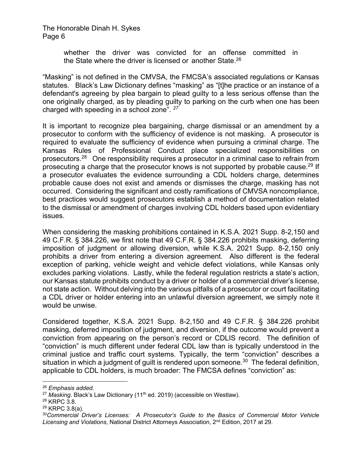> whether the driver was convicted for an offense committed in the State where the driver is licensed or another State.<sup>26</sup>

"Masking" is not defined in the CMVSA, the FMCSA's associated regulations or Kansas statutes. Black's Law Dictionary defines "masking" as "[t]he practice or an instance of a defendant's agreeing by plea bargain to plead guilty to a less serious offense than the one originally charged, as by pleading guilty to parking on the curb when one has been charged with speeding in a school zone". *<sup>27</sup>*

It is important to recognize plea bargaining, charge dismissal or an amendment by a prosecutor to conform with the sufficiency of evidence is not masking. A prosecutor is required to evaluate the sufficiency of evidence when pursuing a criminal charge. The Kansas Rules of Professional Conduct place specialized responsibilities on prosecutors.28 One responsibility requires a prosecutor in a criminal case to refrain from prosecuting a charge that the prosecutor knows is not supported by probable cause.<sup>29</sup> If a prosecutor evaluates the evidence surrounding a CDL holders charge, determines probable cause does not exist and amends or dismisses the charge, masking has not occurred. Considering the significant and costly ramifications of CMVSA noncompliance, best practices would suggest prosecutors establish a method of documentation related to the dismissal or amendment of charges involving CDL holders based upon evidentiary issues.

When considering the masking prohibitions contained in K.S.A. 2021 Supp. 8-2,150 and 49 C.F.R. § 384.226, we first note that 49 C.F.R. § 384.226 prohibits masking, deferring imposition of judgment or allowing diversion, while K.S.A. 2021 Supp. 8-2,150 only prohibits a driver from entering a diversion agreement. Also different is the federal exception of parking, vehicle weight and vehicle defect violations, while Kansas only excludes parking violations. Lastly, while the federal regulation restricts a state's action, our Kansas statute prohibits conduct by a driver or holder of a commercial driver's license, not state action. Without delving into the various pitfalls of a prosecutor or court facilitating a CDL driver or holder entering into an unlawful diversion agreement, we simply note it would be unwise.

Considered together, K.S.A. 2021 Supp. 8-2,150 and 49 C.F.R. § 384.226 prohibit masking, deferred imposition of judgment, and diversion, if the outcome would prevent a conviction from appearing on the person's record or CDLIS record. The definition of "conviction" is much different under federal CDL law than is typically understood in the criminal justice and traffic court systems. Typically, the term "conviction" describes a situation in which a judgment of quilt is rendered upon someone.<sup>30</sup> The federal definition, applicable to CDL holders, is much broader: The FMCSA defines "conviction" as:

<sup>26</sup> *Emphasis added.*

<sup>&</sup>lt;sup>27</sup> Masking. Black's Law Dictionary (11<sup>th</sup> ed. 2019) (accessible on Westlaw).

<sup>28</sup> KRPC 3.8.

<sup>29</sup> KRPC 3.8(a).

<sup>30</sup>*Commercial Driver's Licenses: A Prosecutor's Guide to the Basics of Commercial Motor Vehicle Licensing and Violations*, National District Attorneys Association, 2nd Edition, 2017 at 29.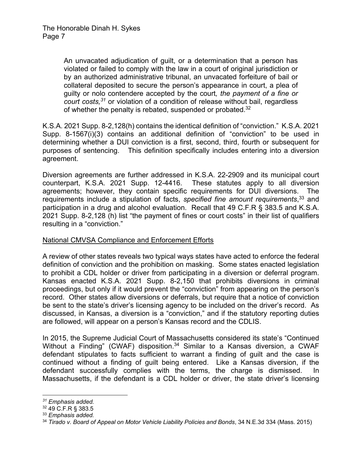An unvacated adjudication of guilt, or a determination that a person has violated or failed to comply with the law in a court of original jurisdiction or by an authorized administrative tribunal, an unvacated forfeiture of bail or collateral deposited to secure the person's appearance in court, a plea of guilty or nolo contendere accepted by the court*, the payment of a fine or court costs,31* or violation of a condition of release without bail, regardless of whether the penalty is rebated, suspended or probated.<sup>32</sup>

K.S.A. 2021 Supp. 8-2,128(h) contains the identical definition of "conviction." K.S.A. 2021 Supp. 8-1567(i)(3) contains an additional definition of "conviction" to be used in determining whether a DUI conviction is a first, second, third, fourth or subsequent for purposes of sentencing. This definition specifically includes entering into a diversion agreement.

Diversion agreements are further addressed in K.S.A. 22-2909 and its municipal court counterpart, K.S.A. 2021 Supp. 12-4416. These statutes apply to all diversion agreements; however, they contain specific requirements for DUI diversions. The requirements include a stipulation of facts, *specified fine amount requirements*, 33 and participation in a drug and alcohol evaluation. Recall that 49 C.F.R § 383.5 and K.S.A. 2021 Supp. 8-2,128 (h) list "the payment of fines or court costs" in their list of qualifiers resulting in a "conviction."

# National CMVSA Compliance and Enforcement Efforts

A review of other states reveals two typical ways states have acted to enforce the federal definition of conviction and the prohibition on masking. Some states enacted legislation to prohibit a CDL holder or driver from participating in a diversion or deferral program. Kansas enacted K.S.A. 2021 Supp. 8-2,150 that prohibits diversions in criminal proceedings, but only if it would prevent the "conviction" from appearing on the person's record. Other states allow diversions or deferrals, but require that a notice of conviction be sent to the state's driver's licensing agency to be included on the driver's record. As discussed, in Kansas, a diversion is a "conviction," and if the statutory reporting duties are followed, will appear on a person's Kansas record and the CDLIS.

In 2015, the Supreme Judicial Court of Massachusetts considered its state's "Continued Without a Finding" (CWAF) disposition.<sup>34</sup> Similar to a Kansas diversion, a CWAF defendant stipulates to facts sufficient to warrant a finding of guilt and the case is continued without a finding of guilt being entered. Like a Kansas diversion, if the defendant successfully complies with the terms, the charge is dismissed. In Massachusetts, if the defendant is a CDL holder or driver, the state driver's licensing

*<sup>31</sup> Emphasis added.* 

<sup>32 49</sup> C.F.R § 383.5

<sup>33</sup> *Emphasis added.*

<sup>34</sup> *Tirado v. Board of Appeal on Motor Vehicle Liability Policies and Bonds*, 34 N.E.3d 334 (Mass. 2015)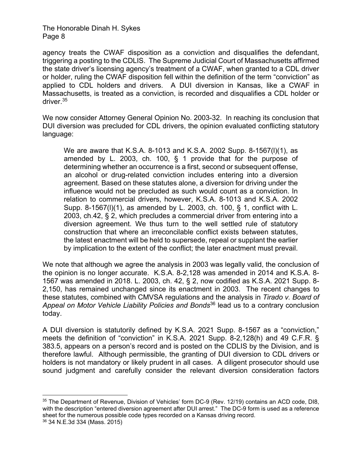agency treats the CWAF disposition as a conviction and disqualifies the defendant, triggering a posting to the CDLIS. The Supreme Judicial Court of Massachusetts affirmed the state driver's licensing agency's treatment of a CWAF, when granted to a CDL driver or holder, ruling the CWAF disposition fell within the definition of the term "conviction" as applied to CDL holders and drivers. A DUI diversion in Kansas, like a CWAF in Massachusetts, is treated as a conviction, is recorded and disqualifies a CDL holder or driver.35

We now consider Attorney General Opinion No. 2003-32. In reaching its conclusion that DUI diversion was precluded for CDL drivers, the opinion evaluated conflicting statutory language:

We are aware that K.S.A. 8-1013 and K.S.A. 2002 Supp. 8-1567(l)(1), as amended by L. 2003, ch. 100, § 1 provide that for the purpose of determining whether an occurrence is a first, second or subsequent offense, an alcohol or drug-related conviction includes entering into a diversion agreement. Based on these statutes alone, a diversion for driving under the influence would not be precluded as such would count as a conviction. In relation to commercial drivers, however, K.S.A. 8-1013 and K.S.A. 2002 Supp. 8-1567(l)(1), as amended by L. 2003, ch. 100, § 1, conflict with L. 2003, ch.42, § 2, which precludes a commercial driver from entering into a diversion agreement. We thus turn to the well settled rule of statutory construction that where an irreconcilable conflict exists between statutes, the latest enactment will be held to supersede, repeal or supplant the earlier by implication to the extent of the conflict; the later enactment must prevail.

We note that although we agree the analysis in 2003 was legally valid, the conclusion of the opinion is no longer accurate. K.S.A. 8-2,128 was amended in 2014 and K.S.A. 8- 1567 was amended in 2018. L. 2003, ch. 42, § 2, now codified as K.S.A. 2021 Supp. 8- 2,150, has remained unchanged since its enactment in 2003. The recent changes to these statutes, combined with CMVSA regulations and the analysis in *Tirado v. Board of Appeal on Motor Vehicle Liability Policies and Bonds*36 lead us to a contrary conclusion today.

A DUI diversion is statutorily defined by K.S.A. 2021 Supp. 8-1567 as a "conviction," meets the definition of "conviction" in K.S.A. 2021 Supp. 8-2,128(h) and 49 C.F.R. § 383.5, appears on a person's record and is posted on the CDLIS by the Division, and is therefore lawful. Although permissible, the granting of DUI diversion to CDL drivers or holders is not mandatory or likely prudent in all cases. A diligent prosecutor should use sound judgment and carefully consider the relevant diversion consideration factors

<sup>35</sup> The Department of Revenue, Division of Vehicles' form DC-9 (Rev. 12/19) contains an ACD code, DI8, with the description "entered diversion agreement after DUI arrest." The DC-9 form is used as a reference sheet for the numerous possible code types recorded on a Kansas driving record.

<sup>36 34</sup> N.E.3d 334 (Mass. 2015)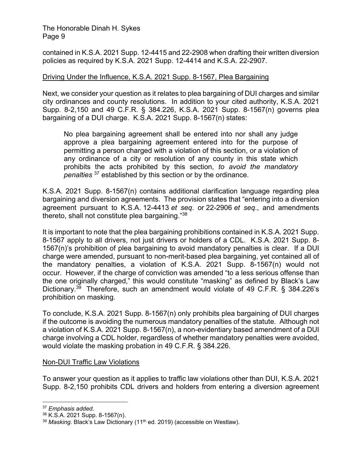contained in K.S.A. 2021 Supp. 12-4415 and 22-2908 when drafting their written diversion policies as required by K.S.A. 2021 Supp. 12-4414 and K.S.A. 22-2907.

# Driving Under the Influence, K.S.A. 2021 Supp. 8-1567, Plea Bargaining

Next, we consider your question as it relates to plea bargaining of DUI charges and similar city ordinances and county resolutions. In addition to your cited authority, K.S.A. 2021 Supp. 8-2,150 and 49 C.F.R. § 384.226, K.S.A. 2021 Supp. 8-1567(n) governs plea bargaining of a DUI charge. K.S.A. 2021 Supp. 8-1567(n) states:

No plea bargaining agreement shall be entered into nor shall any judge approve a plea bargaining agreement entered into for the purpose of permitting a person charged with a violation of this section, or a violation of any ordinance of a city or resolution of any county in this state which prohibits the acts prohibited by this section, *to avoid the mandatory penalties* 37 established by this section or by the ordinance.

K.S.A. 2021 Supp. 8-1567(n) contains additional clarification language regarding plea bargaining and diversion agreements. The provision states that "entering into a diversion agreement pursuant to K.S.A. 12-4413 *et seq*. or 22-2906 *et seq*., and amendments thereto, shall not constitute plea bargaining."38

It is important to note that the plea bargaining prohibitions contained in K.S.A. 2021 Supp. 8-1567 apply to all drivers, not just drivers or holders of a CDL. K.S.A. 2021 Supp. 8- 1567(n)'s prohibition of plea bargaining to avoid mandatory penalties is clear. If a DUI charge were amended, pursuant to non-merit-based plea bargaining, yet contained all of the mandatory penalties, a violation of K.S.A. 2021 Supp. 8-1567(n) would not occur. However, if the charge of conviction was amended "to a less serious offense than the one originally charged," this would constitute "masking" as defined by Black's Law Dictionary.<sup>39</sup> Therefore, such an amendment would violate of 49 C.F.R. § 384.226's prohibition on masking.

To conclude, K.S.A. 2021 Supp. 8-1567(n) only prohibits plea bargaining of DUI charges if the outcome is avoiding the numerous mandatory penalties of the statute. Although not a violation of K.S.A. 2021 Supp. 8-1567(n), a non-evidentiary based amendment of a DUI charge involving a CDL holder, regardless of whether mandatory penalties were avoided, would violate the masking probation in 49 C.F.R. § 384.226.

# Non-DUI Traffic Law Violations

To answer your question as it applies to traffic law violations other than DUI, K.S.A. 2021 Supp. 8-2,150 prohibits CDL drivers and holders from entering a diversion agreement

<sup>37</sup> *Emphasis added.*

<sup>38</sup> K.S.A. 2021 Supp. 8-1567(n).

<sup>&</sup>lt;sup>39</sup> Masking. Black's Law Dictionary (11<sup>th</sup> ed. 2019) (accessible on Westlaw).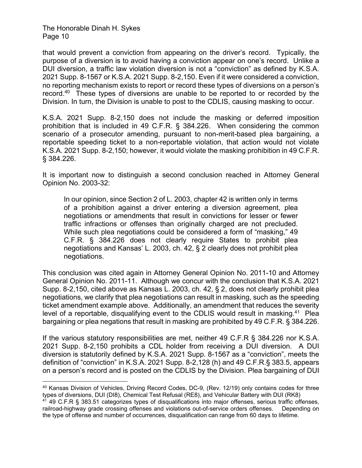that would prevent a conviction from appearing on the driver's record. Typically, the purpose of a diversion is to avoid having a conviction appear on one's record. Unlike a DUI diversion, a traffic law violation diversion is not a "conviction" as defined by K.S.A. 2021 Supp. 8-1567 or K.S.A. 2021 Supp. 8-2,150. Even if it were considered a conviction, no reporting mechanism exists to report or record these types of diversions on a person's record.40 These types of diversions are unable to be reported to or recorded by the Division. In turn, the Division is unable to post to the CDLIS, causing masking to occur.

K.S.A. 2021 Supp. 8-2,150 does not include the masking or deferred imposition prohibition that is included in 49 C.F.R. § 384.226. When considering the common scenario of a prosecutor amending, pursuant to non-merit-based plea bargaining, a reportable speeding ticket to a non-reportable violation, that action would not violate K.S.A. 2021 Supp. 8-2,150; however, it would violate the masking prohibition in 49 C.F.R. § 384.226.

It is important now to distinguish a second conclusion reached in Attorney General Opinion No. 2003-32:

In our opinion, since Section 2 of L. 2003, chapter 42 is written only in terms of a prohibition against a driver entering a diversion agreement, plea negotiations or amendments that result in convictions for lesser or fewer traffic infractions or offenses than originally charged are not precluded. While such plea negotiations could be considered a form of "masking," 49 C.F.R. § 384.226 does not clearly require States to prohibit plea negotiations and Kansas' L. 2003, ch. 42, § 2 clearly does not prohibit plea negotiations.

This conclusion was cited again in Attorney General Opinion No. 2011-10 and Attorney General Opinion No. 2011-11. Although we concur with the conclusion that K.S.A. 2021 Supp. 8-2,150, cited above as Kansas L. 2003, ch. 42, § 2, does not clearly prohibit plea negotiations, we clarify that plea negotiations can result in masking, such as the speeding ticket amendment example above. Additionally, an amendment that reduces the severity level of a reportable, disqualifying event to the CDLIS would result in masking.<sup>41</sup> Plea bargaining or plea negations that result in masking are prohibited by 49 C.F.R. § 384.226.

If the various statutory responsibilities are met, neither 49 C.F.R § 384.226 nor K.S.A. 2021 Supp. 8-2,150 prohibits a CDL holder from receiving a DUI diversion. A DUI diversion is statutorily defined by K.S.A. 2021 Supp. 8-1567 as a "conviction", meets the definition of "conviction" in K.S.A. 2021 Supp. 8-2,128 (h) and 49 C.F.R.§ 383.5, appears on a person's record and is posted on the CDLIS by the Division. Plea bargaining of DUI

<sup>40</sup> Kansas Division of Vehicles, Driving Record Codes, DC-9, (Rev. 12/19) only contains codes for three types of diversions, DUI (DI8), Chemical Test Refusal (RE8), and Vehicular Battery with DUI (RK8) 41 49 C.F.R § 383.51 categorizes types of disqualifications into major offenses, serious traffic offenses, railroad-highway grade crossing offenses and violations out-of-service orders offenses. Depending on the type of offense and number of occurrences, disqualification can range from 60 days to lifetime.